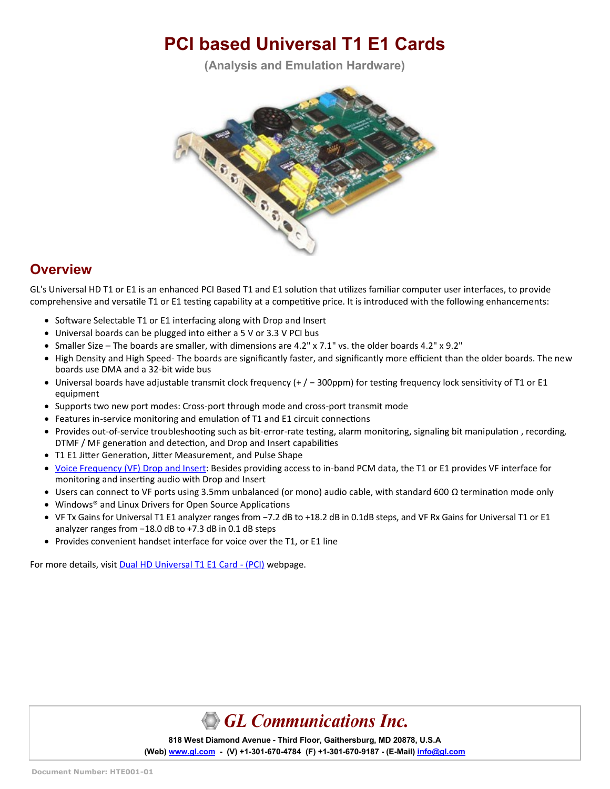# **PCI based Universal T1 E1 Cards**

**(Analysis and Emulation Hardware)**



#### **Overview**

GL's Universal HD T1 or E1 is an enhanced PCI Based T1 and E1 solution that utilizes familiar computer user interfaces, to provide comprehensive and versatile T1 or E1 testing capability at a competitive price. It is introduced with the following enhancements:

- Software Selectable T1 or E1 interfacing along with Drop and Insert
- Universal boards can be plugged into either a 5 V or 3.3 V PCI bus
- Smaller Size The boards are smaller, with dimensions are 4.2" x 7.1" vs. the older boards 4.2" x 9.2"
- High Density and High Speed- The boards are significantly faster, and significantly more efficient than the older boards. The new boards use DMA and a 32-bit wide bus
- Universal boards have adjustable transmit clock frequency (+ / − 300ppm) for testing frequency lock sensitivity of T1 or E1 equipment
- Supports two new port modes: Cross-port through mode and cross-port transmit mode
- Features in-service monitoring and emulation of T1 and E1 circuit connections
- Provides out-of-service troubleshooting such as bit-error-rate testing, alarm monitoring, signaling bit manipulation , recording, DTMF / MF generation and detection, and Drop and Insert capabilities
- T1 E1 Jitter Generation, Jitter Measurement, and Pulse Shape
- [Voice Frequency \(VF\) Drop and Insert:](https://www.gl.com/vf-input-output-interfaces-t1-e1-products.html) Besides providing access to in-band PCM data, the T1 or E1 provides VF interface for monitoring and inserting audio with Drop and Insert
- Users can connect to VF ports using 3.5mm unbalanced (or mono) audio cable, with standard 600 Ω termination mode only
- Windows® and Linux Drivers for Open Source Applications
- VF Tx Gains for Universal T1 E1 analyzer ranges from −7.2 dB to +18.2 dB in 0.1dB steps, and VF Rx Gains for Universal T1 or E1 analyzer ranges from −18.0 dB to +7.3 dB in 0.1 dB steps
- Provides convenient handset interface for voice over the T1, or E1 line

For more details, visit [Dual HD Universal T1 E1 Card](https://www.gl.com/dual-t1-e1-universal-hd-pci-boards.html) - (PCI) webpage.



**818 West Diamond Avenue - Third Floor, Gaithersburg, MD 20878, U.S.A** (Web) [www.gl.com](https://www.gl.com) - (V) +1-301-670-4784 (F) +1-301-670-9187 - (E-Mail) [info@gl.com](https://www.gl.com/inforequestform.php)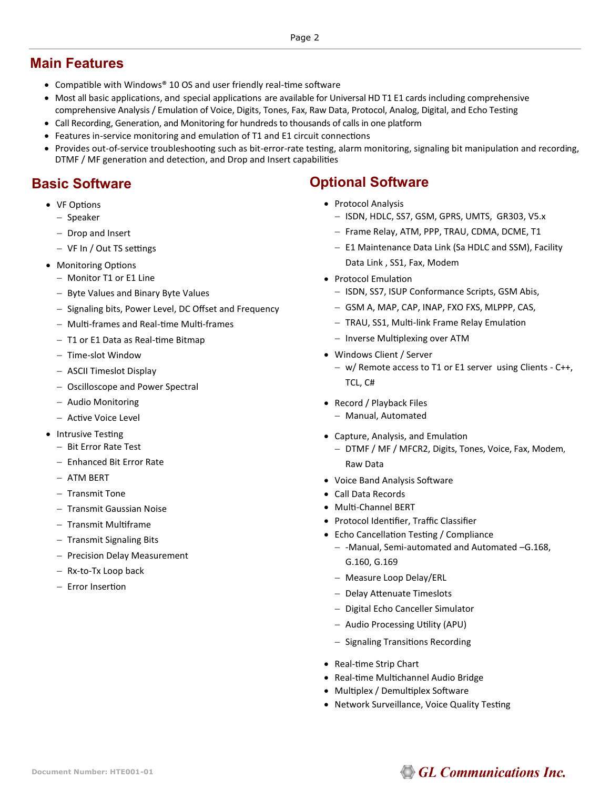#### **Main Features**

- Compatible with Windows® 10 OS and user friendly real-time software
- Most all [basic applications,](http://www.gl.com/t1e1applications.html#basict1e1apps) and [special applications](http://www.gl.com/t1e1applications.html#optionalt1e1apps) are available for Universal HD T1 E1 cards including comprehensive comprehensive Analysis / Emulation of Voice, Digits, Tones, Fax, Raw Data, Protocol, Analog, Digital, and Echo Testing
- Call Recording, Generation, and Monitoring for hundreds to thousands of calls in one platform
- Features in-service monitoring and emulation of T1 and E1 circuit connections
- Provides out-of-service troubleshooting such as bit-error-rate testing, alarm monitoring, signaling bit manipulation and recording, DTMF / MF generation and detection, and Drop and Insert capabilities

#### **Basic Software**

- VF Options
	- − Speaker
	- − Drop and Insert
	- − VF In / Out TS settings
- Monitoring Options
	- − Monitor T1 or E1 Line
	- − Byte Values and Binary Byte Values
	- − Signaling bits, Power Level, DC Offset and Frequency
	- − Multi-frames and Real-time Multi-frames
	- − T1 or E1 Data as Real-time Bitmap
	- − Time-slot Window
	- − ASCII Timeslot Display
	- − Oscilloscope and Power Spectral
	- − Audio Monitoring
	- − Active Voice Level
- Intrusive Testing
	- − Bit Error Rate Test
	- − Enhanced Bit Error Rate
	- − ATM BERT
	- − Transmit Tone
	- − Transmit Gaussian Noise
	- − Transmit Multiframe
	- − Transmit Signaling Bits
	- − Precision Delay Measurement
	- − Rx-to-Tx Loop back
	- − Error Insertion

#### **Optional Software**

- Protocol Analysis
	- − ISDN, HDLC, SS7, GSM, GPRS, UMTS, GR303, V5.x
	- − Frame Relay, ATM, PPP, TRAU, CDMA, DCME, T1
	- − E1 Maintenance Data Link (Sa HDLC and SSM), Facility Data Link , SS1, Fax, Modem
- Protocol Emulation
	- − ISDN, SS7, ISUP Conformance Scripts, GSM Abis,
	- − GSM A, MAP, CAP, INAP, FXO FXS, MLPPP, CAS,
	- − TRAU, SS1, Multi-link Frame Relay Emulation
	- − Inverse Multiplexing over ATM
- Windows Client / Server
	- − w/ Remote access to T1 or E1 server using Clients C++, TCL, C#
- Record / Playback Files
	- − Manual, Automated
- Capture, Analysis, and Emulation
	- − DTMF / MF / MFCR2, Digits, Tones, Voice, Fax, Modem, Raw Data
- Voice Band Analysis Software
- Call Data Records
- Multi-Channel BERT
- Protocol Identifier, Traffic Classifier
- Echo Cancellation Testing / Compliance
	- − -Manual, Semi-automated and Automated –G.168, G.160, G.169
	- − Measure Loop Delay/ERL
	- − Delay Attenuate Timeslots
	- − Digital Echo Canceller Simulator
	- − Audio Processing Utility (APU)
	- − Signaling Transitions Recording
- Real-time Strip Chart
- Real-time Multichannel Audio Bridge
- Multiplex / Demultiplex Software
- Network Surveillance, Voice Quality Testing

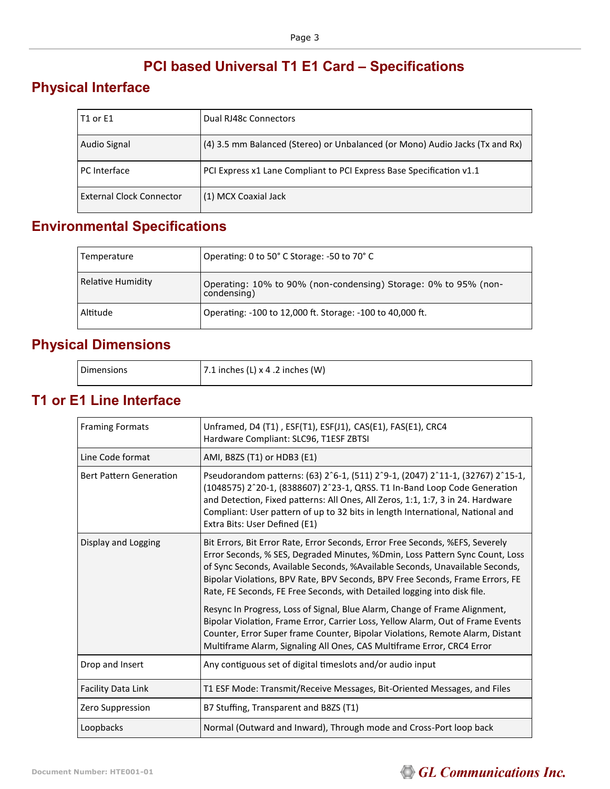### **PCI based Universal T1 E1 Card – Specifications**

### **Physical Interface**

| T1 or E1                        | Dual RJ48c Connectors                                                        |
|---------------------------------|------------------------------------------------------------------------------|
| Audio Signal                    | (4) 3.5 mm Balanced (Stereo) or Unbalanced (or Mono) Audio Jacks (Tx and Rx) |
| PC Interface                    | PCI Express x1 Lane Compliant to PCI Express Base Specification v1.1         |
| <b>External Clock Connector</b> | (1) MCX Coaxial Jack                                                         |

### **Environmental Specifications**

| Temperature       | Operating: 0 to 50° C Storage: -50 to 70° C                                    |
|-------------------|--------------------------------------------------------------------------------|
| Relative Humidity | Operating: 10% to 90% (non-condensing) Storage: 0% to 95% (non-<br>condensing) |
| Altitude          | Operating: -100 to 12,000 ft. Storage: -100 to 40,000 ft.                      |

### **Physical Dimensions**

| <b>Dimensions</b> | 17.1 inches (L) $\times$ 4 .2 inches (W) |
|-------------------|------------------------------------------|
|                   |                                          |

#### **T1 or E1 Line Interface**

| <b>Framing Formats</b>         | Unframed, D4 (T1), ESF(T1), ESF(J1), CAS(E1), FAS(E1), CRC4<br>Hardware Compliant: SLC96, T1ESF ZBTSI                                                                                                                                                                                                                                                                                                                                                                                                                                                                                                                                                                                                                                  |
|--------------------------------|----------------------------------------------------------------------------------------------------------------------------------------------------------------------------------------------------------------------------------------------------------------------------------------------------------------------------------------------------------------------------------------------------------------------------------------------------------------------------------------------------------------------------------------------------------------------------------------------------------------------------------------------------------------------------------------------------------------------------------------|
| Line Code format               | AMI, B8ZS (T1) or HDB3 (E1)                                                                                                                                                                                                                                                                                                                                                                                                                                                                                                                                                                                                                                                                                                            |
| <b>Bert Pattern Generation</b> | Pseudorandom patterns: (63) 2^6-1, (511) 2^9-1, (2047) 2^11-1, (32767) 2^15-1,<br>(1048575) 2^20-1, (8388607) 2^23-1, QRSS. T1 In-Band Loop Code Generation<br>and Detection, Fixed patterns: All Ones, All Zeros, 1:1, 1:7, 3 in 24. Hardware<br>Compliant: User pattern of up to 32 bits in length International, National and<br>Extra Bits: User Defined (E1)                                                                                                                                                                                                                                                                                                                                                                      |
| Display and Logging            | Bit Errors, Bit Error Rate, Error Seconds, Error Free Seconds, %EFS, Severely<br>Error Seconds, % SES, Degraded Minutes, %Dmin, Loss Pattern Sync Count, Loss<br>of Sync Seconds, Available Seconds, %Available Seconds, Unavailable Seconds,<br>Bipolar Violations, BPV Rate, BPV Seconds, BPV Free Seconds, Frame Errors, FE<br>Rate, FE Seconds, FE Free Seconds, with Detailed logging into disk file.<br>Resync In Progress, Loss of Signal, Blue Alarm, Change of Frame Alignment,<br>Bipolar Violation, Frame Error, Carrier Loss, Yellow Alarm, Out of Frame Events<br>Counter, Error Super frame Counter, Bipolar Violations, Remote Alarm, Distant<br>Multiframe Alarm, Signaling All Ones, CAS Multiframe Error, CRC4 Error |
| Drop and Insert                | Any contiguous set of digital timeslots and/or audio input                                                                                                                                                                                                                                                                                                                                                                                                                                                                                                                                                                                                                                                                             |
| Facility Data Link             | T1 ESF Mode: Transmit/Receive Messages, Bit-Oriented Messages, and Files                                                                                                                                                                                                                                                                                                                                                                                                                                                                                                                                                                                                                                                               |
| Zero Suppression               | B7 Stuffing, Transparent and B8ZS (T1)                                                                                                                                                                                                                                                                                                                                                                                                                                                                                                                                                                                                                                                                                                 |
| Loopbacks                      | Normal (Outward and Inward), Through mode and Cross-Port loop back                                                                                                                                                                                                                                                                                                                                                                                                                                                                                                                                                                                                                                                                     |

# **GL Communications Inc.**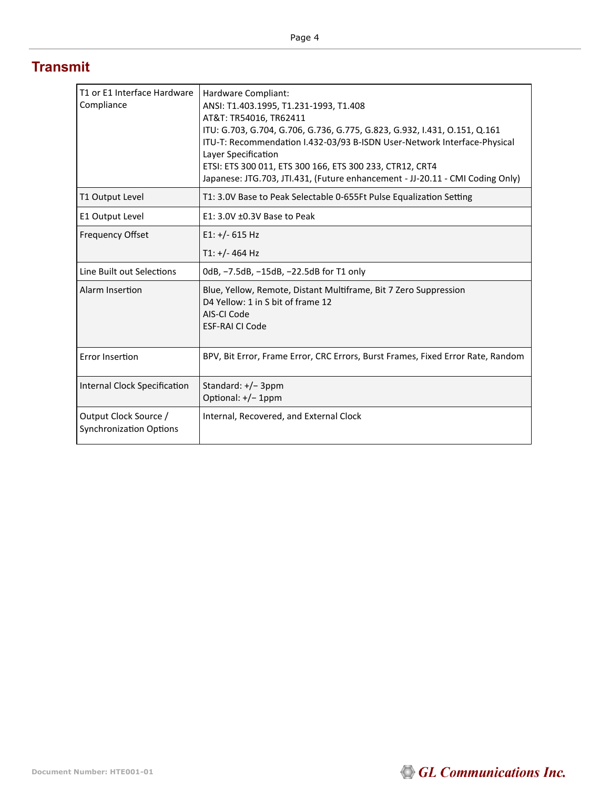#### **Transmit**

| T1 or E1 Interface Hardware<br>Compliance               | Hardware Compliant:<br>ANSI: T1.403.1995, T1.231-1993, T1.408<br>AT&T: TR54016, TR62411<br>ITU: G.703, G.704, G.706, G.736, G.775, G.823, G.932, I.431, O.151, Q.161<br>ITU-T: Recommendation I.432-03/93 B-ISDN User-Network Interface-Physical<br>Layer Specification<br>ETSI: ETS 300 011, ETS 300 166, ETS 300 233, CTR12, CRT4<br>Japanese: JTG.703, JTI.431, (Future enhancement - JJ-20.11 - CMI Coding Only) |
|---------------------------------------------------------|----------------------------------------------------------------------------------------------------------------------------------------------------------------------------------------------------------------------------------------------------------------------------------------------------------------------------------------------------------------------------------------------------------------------|
| T1 Output Level                                         | T1: 3.0V Base to Peak Selectable 0-655Ft Pulse Equalization Setting                                                                                                                                                                                                                                                                                                                                                  |
| E1 Output Level                                         | $E1: 3.0V \pm 0.3V$ Base to Peak                                                                                                                                                                                                                                                                                                                                                                                     |
| <b>Frequency Offset</b>                                 | $E1: +/- 615$ Hz                                                                                                                                                                                                                                                                                                                                                                                                     |
|                                                         | T1: +/- 464 Hz                                                                                                                                                                                                                                                                                                                                                                                                       |
| Line Built out Selections                               | 0dB, -7.5dB, -15dB, -22.5dB for T1 only                                                                                                                                                                                                                                                                                                                                                                              |
| Alarm Insertion                                         | Blue, Yellow, Remote, Distant Multiframe, Bit 7 Zero Suppression<br>D4 Yellow: 1 in S bit of frame 12<br>AIS-CLCode<br><b>ESF-RAI CI Code</b>                                                                                                                                                                                                                                                                        |
| <b>Error Insertion</b>                                  | BPV, Bit Error, Frame Error, CRC Errors, Burst Frames, Fixed Error Rate, Random                                                                                                                                                                                                                                                                                                                                      |
| Internal Clock Specification                            | Standard: $+/-$ 3ppm<br>Optional: +/- 1ppm                                                                                                                                                                                                                                                                                                                                                                           |
| Output Clock Source /<br><b>Synchronization Options</b> | Internal, Recovered, and External Clock                                                                                                                                                                                                                                                                                                                                                                              |

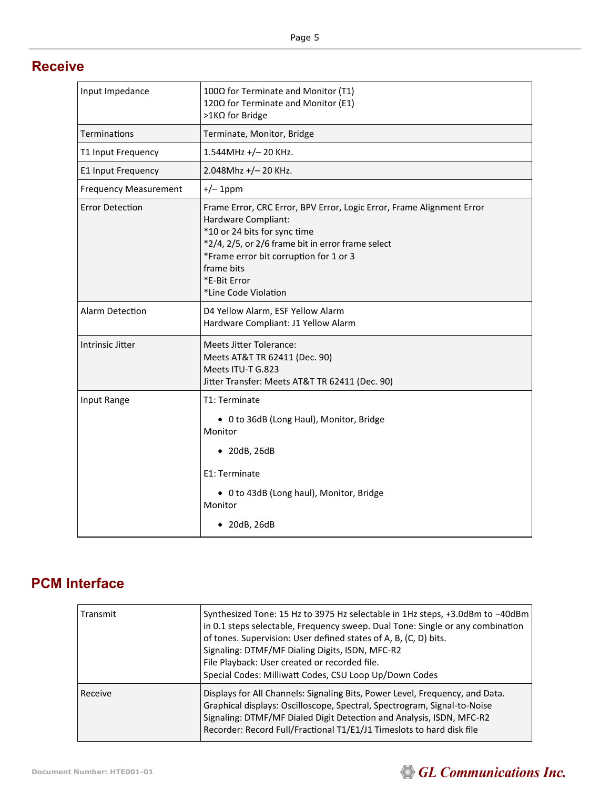#### **Receive**

| Input Impedance              | 100Ω for Terminate and Monitor (T1)<br>120Ω for Terminate and Monitor (E1)<br>>1KΩ for Bridge                                                                                                                                                                                     |
|------------------------------|-----------------------------------------------------------------------------------------------------------------------------------------------------------------------------------------------------------------------------------------------------------------------------------|
| Terminations                 | Terminate, Monitor, Bridge                                                                                                                                                                                                                                                        |
| T1 Input Frequency           | $1.544$ MHz +/-20 KHz.                                                                                                                                                                                                                                                            |
| E1 Input Frequency           | 2.048Mhz +/-20 KHz.                                                                                                                                                                                                                                                               |
| <b>Frequency Measurement</b> | $+/- 1$ ppm                                                                                                                                                                                                                                                                       |
| <b>Error Detection</b>       | Frame Error, CRC Error, BPV Error, Logic Error, Frame Alignment Error<br>Hardware Compliant:<br>*10 or 24 bits for sync time<br>*2/4, 2/5, or 2/6 frame bit in error frame select<br>*Frame error bit corruption for 1 or 3<br>frame bits<br>*E-Bit Error<br>*Line Code Violation |
| <b>Alarm Detection</b>       | D4 Yellow Alarm, ESF Yellow Alarm<br>Hardware Compliant: J1 Yellow Alarm                                                                                                                                                                                                          |
| Intrinsic Jitter             | <b>Meets Jitter Tolerance:</b><br>Meets AT&T TR 62411 (Dec. 90)<br>Meets ITU-T G.823<br>Jitter Transfer: Meets AT&T TR 62411 (Dec. 90)                                                                                                                                            |
| Input Range                  | T1: Terminate<br>• 0 to 36dB (Long Haul), Monitor, Bridge<br>Monitor<br>$\bullet$ 20dB, 26dB<br>E1: Terminate<br>• 0 to 43dB (Long haul), Monitor, Bridge<br>Monitor<br>$\bullet$ 20dB, 26dB                                                                                      |

### **PCM Interface**

| Transmit | Synthesized Tone: 15 Hz to 3975 Hz selectable in 1Hz steps, +3.0dBm to -40dBm<br>in 0.1 steps selectable, Frequency sweep. Dual Tone: Single or any combination<br>of tones. Supervision: User defined states of A, B, (C, D) bits.<br>Signaling: DTMF/MF Dialing Digits, ISDN, MFC-R2<br>File Playback: User created or recorded file.<br>Special Codes: Milliwatt Codes, CSU Loop Up/Down Codes |
|----------|---------------------------------------------------------------------------------------------------------------------------------------------------------------------------------------------------------------------------------------------------------------------------------------------------------------------------------------------------------------------------------------------------|
| Receive  | Displays for All Channels: Signaling Bits, Power Level, Frequency, and Data.<br>Graphical displays: Oscilloscope, Spectral, Spectrogram, Signal-to-Noise<br>Signaling: DTMF/MF Dialed Digit Detection and Analysis, ISDN, MFC-R2<br>Recorder: Record Full/Fractional T1/E1/J1 Timeslots to hard disk file                                                                                         |

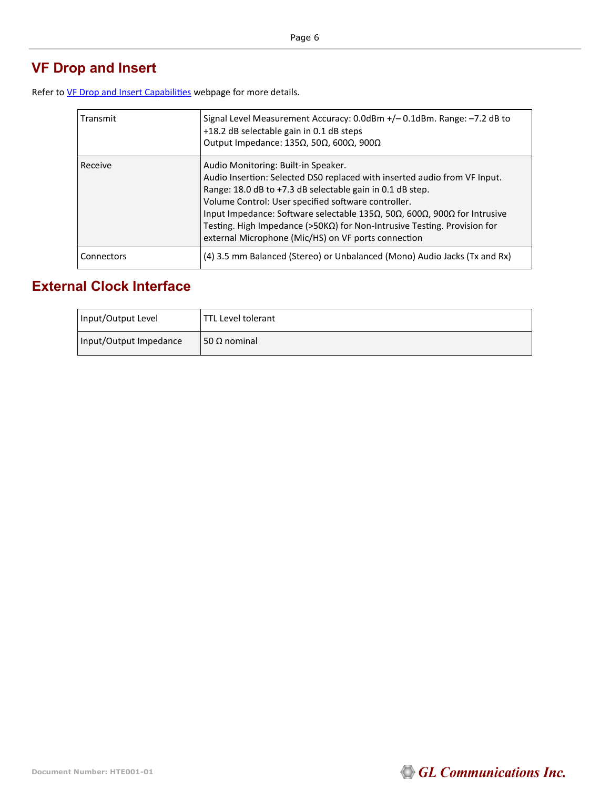## **VF Drop and Insert**

Refer to [VF Drop and Insert Capabilities](https://www.gl.com/vf-input-output-interfaces-t1-e1-products.html) webpage for more details.

| Transmit   | Signal Level Measurement Accuracy: 0.0dBm +/-0.1dBm. Range: -7.2 dB to<br>+18.2 dB selectable gain in 0.1 dB steps<br>Output Impedance: 135Ω, 50Ω, 600Ω, 900Ω                                                                                                                                                                                                                                                                                                |
|------------|--------------------------------------------------------------------------------------------------------------------------------------------------------------------------------------------------------------------------------------------------------------------------------------------------------------------------------------------------------------------------------------------------------------------------------------------------------------|
| Receive    | Audio Monitoring: Built-in Speaker.<br>Audio Insertion: Selected DS0 replaced with inserted audio from VF Input.<br>Range: 18.0 dB to +7.3 dB selectable gain in 0.1 dB step.<br>Volume Control: User specified software controller.<br>Input Impedance: Software selectable 135Ω, 50Ω, 600Ω, 900Ω for Intrusive<br>Testing. High Impedance ( $>50K\Omega$ ) for Non-Intrusive Testing. Provision for<br>external Microphone (Mic/HS) on VF ports connection |
| Connectors | (4) 3.5 mm Balanced (Stereo) or Unbalanced (Mono) Audio Jacks (Tx and Rx)                                                                                                                                                                                                                                                                                                                                                                                    |

#### **External Clock Interface**

| Input/Output Level     | TTL Level tolerant |
|------------------------|--------------------|
| Input/Output Impedance | $50$ Ω nominal     |